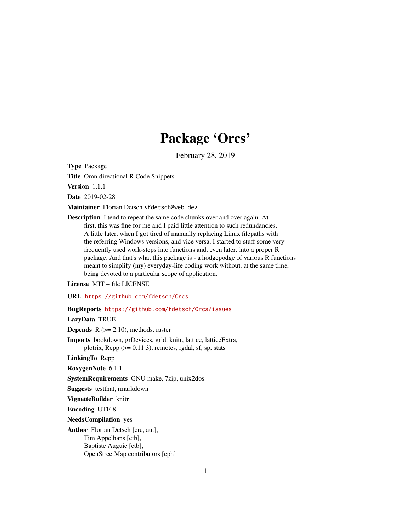# Package 'Orcs'

February 28, 2019

<span id="page-0-0"></span>Type Package

Title Omnidirectional R Code Snippets

Version 1.1.1

Date 2019-02-28

Maintainer Florian Detsch <fdetsch@web.de>

Description I tend to repeat the same code chunks over and over again. At first, this was fine for me and I paid little attention to such redundancies. A little later, when I got tired of manually replacing Linux filepaths with the referring Windows versions, and vice versa, I started to stuff some very frequently used work-steps into functions and, even later, into a proper R package. And that's what this package is - a hodgepodge of various R functions meant to simplify (my) everyday-life coding work without, at the same time, being devoted to a particular scope of application.

License MIT + file LICENSE

URL <https://github.com/fdetsch/Orcs>

BugReports <https://github.com/fdetsch/Orcs/issues>

LazyData TRUE

**Depends**  $R$  ( $>= 2.10$ ), methods, raster

Imports bookdown, grDevices, grid, knitr, lattice, latticeExtra, plotrix,  $\text{Rcpp}$  ( $\geq 0.11.3$ ), remotes, rgdal, sf, sp, stats

LinkingTo Rcpp

RoxygenNote 6.1.1

SystemRequirements GNU make, 7zip, unix2dos

Suggests testthat, rmarkdown

VignetteBuilder knitr

Encoding UTF-8

NeedsCompilation yes

Author Florian Detsch [cre, aut], Tim Appelhans [ctb], Baptiste Auguie [ctb], OpenStreetMap contributors [cph]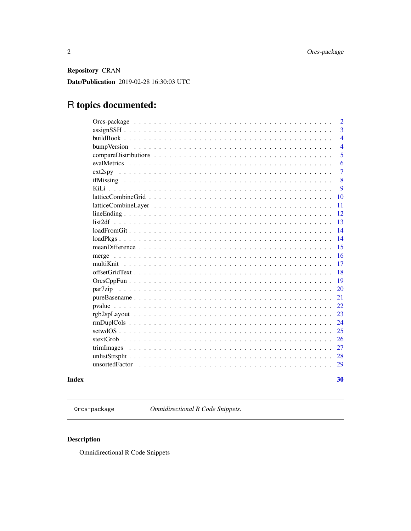30

<span id="page-1-0"></span>**Repository CRAN** 

Date/Publication 2019-02-28 16:30:03 UTC

## R topics documented:

|       | $\overline{2}$ |
|-------|----------------|
|       | $\overline{3}$ |
|       | $\overline{4}$ |
|       | $\overline{4}$ |
|       | 5              |
|       | 6              |
|       | 7              |
|       | 8              |
|       | 9              |
|       | 10             |
|       | 11             |
|       | 12             |
|       | 13             |
|       | 14             |
|       | 14             |
|       | 15             |
| merge | 16             |
|       | 17             |
|       | 18             |
|       | 19             |
|       | 20             |
|       | 21             |
|       | 22.            |
|       | 23             |
|       | 24             |
|       | 25             |
|       | 26             |
|       | 27             |
|       | 28             |
|       | 29             |
|       |                |

#### **Index**

Orcs-package

**Omnidirectional R Code Snippets.** 

#### **Description**

**Omnidirectional R Code Snippets**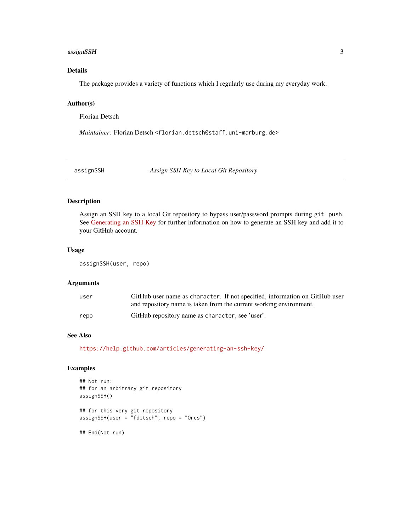#### <span id="page-2-0"></span>assignSSH 3

#### Details

The package provides a variety of functions which I regularly use during my everyday work.

#### Author(s)

Florian Detsch

*Maintainer:* Florian Detsch <florian.detsch@staff.uni-marburg.de>

assignSSH *Assign SSH Key to Local Git Repository*

#### Description

Assign an SSH key to a local Git repository to bypass user/password prompts during git push. See [Generating an SSH Key](https://help.github.com/articles/generating-an-ssh-key/) for further information on how to generate an SSH key and add it to your GitHub account.

#### Usage

assignSSH(user, repo)

#### Arguments

| user | GitHub user name as character. If not specified, information on GitHub user |
|------|-----------------------------------------------------------------------------|
|      | and repository name is taken from the current working environment.          |
| repo | GitHub repository name as character, see 'user'.                            |

#### See Also

<https://help.github.com/articles/generating-an-ssh-key/>

```
## Not run:
## for an arbitrary git repository
assignSSH()
## for this very git repository
assignSSH(user = "fdetsch", repo = "Orcs")
## End(Not run)
```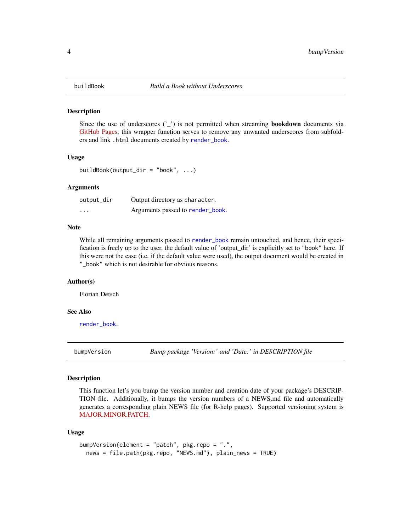<span id="page-3-0"></span>

Since the use of underscores  $('_')$  is not permitted when streaming **bookdown** documents via [GitHub Pages,](https://pages.github.com/) this wrapper function serves to remove any unwanted underscores from subfolders and link .html documents created by [render\\_book](#page-0-0).

#### Usage

buildBook(output\_dir = "book", ...)

#### Arguments

| output_dir | Output directory as character.   |
|------------|----------------------------------|
| .          | Arguments passed to render_book. |

#### Note

While all remaining arguments passed to [render\\_book](#page-0-0) remain untouched, and hence, their specification is freely up to the user, the default value of 'output\_dir' is explicitly set to "book" here. If this were not the case (i.e. if the default value were used), the output document would be created in "\_book" which is not desirable for obvious reasons.

#### Author(s)

Florian Detsch

#### See Also

[render\\_book](#page-0-0).

bumpVersion *Bump package 'Version:' and 'Date:' in DESCRIPTION file*

#### Description

This function let's you bump the version number and creation date of your package's DESCRIP-TION file. Additionally, it bumps the version numbers of a NEWS.md file and automatically generates a corresponding plain NEWS file (for R-help pages). Supported versioning system is [MAJOR.MINOR.PATCH.](https://semver.org/)

#### Usage

```
bumpVersion(element = "patch", pkg.repo = ".",
 news = file.path(pkg.repo, "NEWS.md"), plain_news = TRUE)
```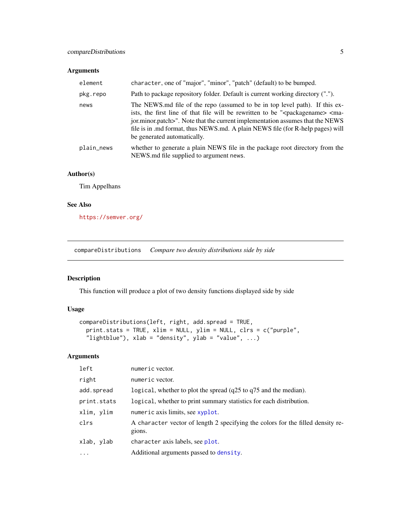#### <span id="page-4-0"></span>Arguments

| element    | character, one of "major", "minor", "patch" (default) to be bumped.                                                                                                                                                                                                                                                                                                                         |
|------------|---------------------------------------------------------------------------------------------------------------------------------------------------------------------------------------------------------------------------------------------------------------------------------------------------------------------------------------------------------------------------------------------|
| pkg.repo   | Path to package repository folder. Default is current working directory (".").                                                                                                                                                                                                                                                                                                              |
| news       | The NEWS md file of the repo (assumed to be in top level path). If this ex-<br>ists, the first line of that file will be rewritten to be " <packagename> <ma-<br>jor.minor.patch&gt;". Note that the current implementation assumes that the NEWS<br/>file is in .md format, thus NEWS.md. A plain NEWS file (for R-help pages) will<br/>be generated automatically.</ma-<br></packagename> |
| plain_news | whether to generate a plain NEWS file in the package root directory from the<br>NEWS.md file supplied to argument news.                                                                                                                                                                                                                                                                     |

#### Author(s)

Tim Appelhans

#### See Also

<https://semver.org/>

compareDistributions *Compare two density distributions side by side*

#### Description

This function will produce a plot of two density functions displayed side by side

#### Usage

```
compareDistributions(left, right, add.spread = TRUE,
 print.stats = TRUE, xlim = NULL, ylim = NULL, clrs = c("purple",
 "lightblue"), xlab = "density", ylab = "value", ...)
```
#### Arguments

| numeric vector.                                                                           |
|-------------------------------------------------------------------------------------------|
| numeric vector.                                                                           |
| logical, whether to plot the spread $(q25 \text{ to } q75 \text{ and the median})$ .      |
| logical, whether to print summary statistics for each distribution.                       |
| numeric axis limits, see xyplot.                                                          |
| A character vector of length 2 specifying the colors for the filled density re-<br>gions. |
| character axis labels, see plot.                                                          |
| Additional arguments passed to density.                                                   |
|                                                                                           |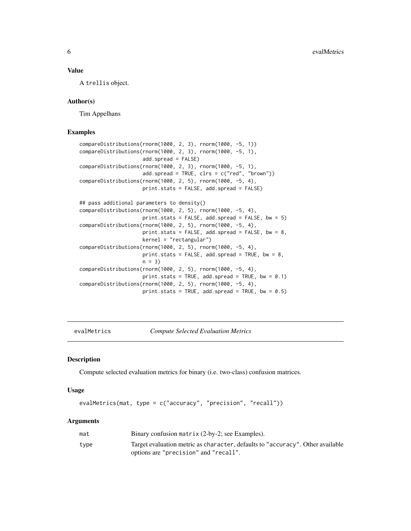#### <span id="page-5-0"></span>Value

A trellis object.

#### Author(s)

Tim Appelhans

#### Examples

```
compareDistributions(rnorm(1000, 2, 3), rnorm(1000, -5, 1))
compareDistributions(rnorm(1000, 2, 3), rnorm(1000, -5, 1),
                     add.spread = FALSE)
compareDistributions(rnorm(1000, 2, 3), rnorm(1000, -5, 1),
                     add.spread = TRUE, clrs = c("red", "brown"))
compareDistributions(rnorm(1000, 2, 5), rnorm(1000, -5, 4),
                    print.stats = FALSE, add.spread = FALSE)
## pass additional parameters to density()
compareDistributions(rnorm(1000, 2, 5), rnorm(1000, -5, 4),
                    print.stats = FALSE, add.spread = FALSE, bw = 5)
compareDistributions(rnorm(1000, 2, 5), rnorm(1000, -5, 4),
                    print.stats = FALSE, add.spread = FALSE, bw = 8,
                    kernel = "rectangular")
compareDistributions(rnorm(1000, 2, 5), rnorm(1000, -5, 4),
                     print.stats = FALSE, add.spread = TRUE, bw = 8,
                     n = 3compareDistributions(rnorm(1000, 2, 5), rnorm(1000, -5, 4),
                    print.stats = TRUE, add.spread = TRUE, bw = 0.1)
compareDistributions(rnorm(1000, 2, 5), rnorm(1000, -5, 4),
                    print.stats = TRUE, add.spread = TRUE, bw = 0.5)
```
evalMetrics *Compute Selected Evaluation Metrics*

#### Description

Compute selected evaluation metrics for binary (i.e. two-class) confusion matrices.

#### Usage

```
evalMetrics(mat, type = c("accuracy", "precision", "recall"))
```
#### Arguments

| mat  | Binary confusion matrix (2-by-2; see Examples).                                                                         |
|------|-------------------------------------------------------------------------------------------------------------------------|
| type | Target evaluation metric as character, defaults to "accuracy". Other available<br>options are "precision" and "recall". |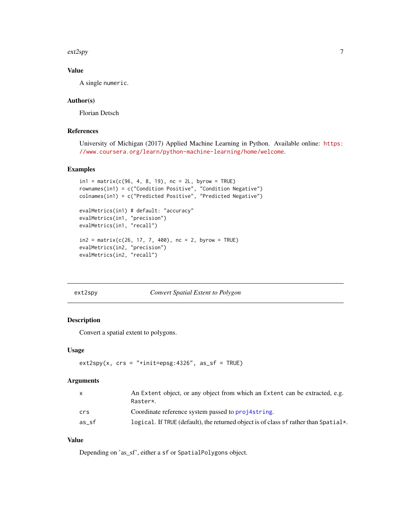<span id="page-6-0"></span>ext2spy 7

#### Value

A single numeric.

#### Author(s)

Florian Detsch

#### References

University of Michigan (2017) Applied Machine Learning in Python. Available online: [https:](https://www.coursera.org/learn/python-machine-learning/home/welcome) [//www.coursera.org/learn/python-machine-learning/home/welcome](https://www.coursera.org/learn/python-machine-learning/home/welcome).

#### Examples

```
in1 = matrix(c(96, 4, 8, 19), nc = 2L, byrow = TRUE)rownames(in1) = c("Condition Positive", "Condition Negative")
colnames(in1) = c("Predicted Positive", "Predicted Negative")
evalMetrics(in1) # default: "accuracy"
evalMetrics(in1, "precision")
evalMetrics(in1, "recall")
in2 = matrix(c(26, 17, 7, 400), nc = 2, byrow = TRUE)evalMetrics(in2, "precision")
evalMetrics(in2, "recall")
```
#### ext2spy *Convert Spatial Extent to Polygon*

#### Description

Convert a spatial extent to polygons.

#### Usage

```
ext2spy(x, crs = "+init=eps:4326", as_s = TRUE)
```
#### Arguments

| $\mathsf{X}$ | An Extent object, or any object from which an Extent can be extracted, e.g.<br>Raster*.      |
|--------------|----------------------------------------------------------------------------------------------|
| crs          | Coordinate reference system passed to projetring.                                            |
| as sf        | logical. If TRUE (default), the returned object is of class sf rather than Spatial $\star$ . |

#### Value

Depending on 'as\_sf', either a sf or SpatialPolygons object.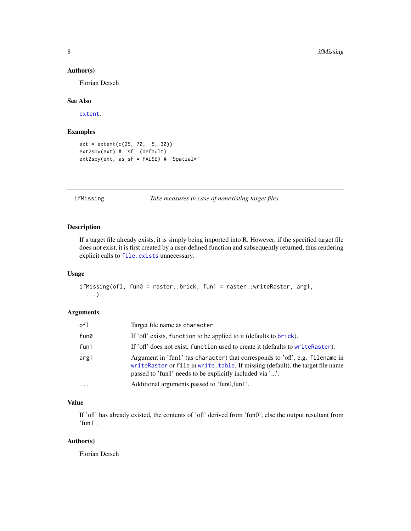#### <span id="page-7-0"></span>Author(s)

Florian Detsch

#### See Also

[extent](#page-0-0).

#### Examples

```
ext = extent(c(25, 70, -5, 30))ext2spy(ext) # 'sf' (default)
ext2spy(ext, as_sf = FALSE) # 'Spatial*'
```
ifMissing *Take measures in case of nonexisting target files*

#### Description

If a target file already exists, it is simply being imported into R. However, if the specified target file does not exist, it is first created by a user-defined function and subsequently returned, thus rendering explicit calls to [file.exists](#page-0-0) unnecessary.

#### Usage

```
ifMissing(ofl, fun0 = raster::brick, fun1 = raster::writeRaster, arg1,
  ...)
```
#### Arguments

| ofl      | Target file name as character.                                                                                                                                                                                               |
|----------|------------------------------------------------------------------------------------------------------------------------------------------------------------------------------------------------------------------------------|
| fun0     | If 'off' exists, function to be applied to it (defaults to brick).                                                                                                                                                           |
| fun1     | If 'off' does not exist, function used to create it (defaults to write Raster).                                                                                                                                              |
| arg1     | Argument in 'fun1' (as character) that corresponds to 'ofl', e.g. filename in<br>writeRaster or file in write, table. If missing (default), the target file name<br>passed to 'fun1' needs to be explicitly included via ''. |
| $\cdots$ | Additional arguments passed to 'fun0, fun1'.                                                                                                                                                                                 |

#### Value

If 'ofl' has already existed, the contents of 'ofl' derived from 'fun0'; else the output resultant from 'fun1'.

#### Author(s)

Florian Detsch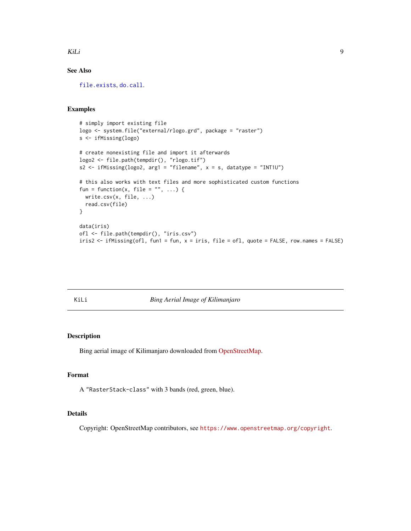#### <span id="page-8-0"></span>KiLi 9

#### See Also

[file.exists](#page-0-0), [do.call](#page-0-0).

#### Examples

```
# simply import existing file
logo <- system.file("external/rlogo.grd", package = "raster")
s <- ifMissing(logo)
# create nonexisting file and import it afterwards
logo2 <- file.path(tempdir(), "rlogo.tif")
s2 <- ifMissing(logo2, arg1 = "filename", x = s, datatype = "INT1U")
# this also works with text files and more sophisticated custom functions
fun = function(x, file = ", ...) {
  write.csv(x, file, ...)
  read.csv(file)
}
data(iris)
ofl <- file.path(tempdir(), "iris.csv")
iris2 <- ifMissing(ofl, fun1 = fun, x = iris, file = ofl, quote = FALSE, row.names = FALSE)
```
KiLi *Bing Aerial Image of Kilimanjaro*

#### Description

Bing aerial image of Kilimanjaro downloaded from [OpenStreetMap.](https://www.openstreetmap.org/)

#### Format

A "RasterStack-class" with 3 bands (red, green, blue).

#### Details

Copyright: OpenStreetMap contributors, see <https://www.openstreetmap.org/copyright>.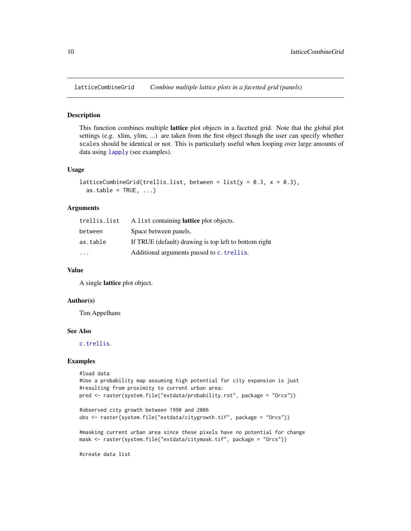<span id="page-9-0"></span>latticeCombineGrid *Combine multiple lattice plots in a facetted grid (panels)*

#### Description

This function combines multiple lattice plot objects in a facetted grid. Note that the global plot settings (e.g. xlim, ylim, ...) are taken from the first object though the user can specify whether scales should be identical or not. This is particularly useful when looping over large amounts of data using [lapply](#page-0-0) (see examples).

#### Usage

```
latticeCombineGrid(trellis.list, between = list(y = 0.3, x = 0.3),
  as.table = TRUE, ...)
```
#### Arguments

| trellis.list            | A list containing <b>lattice</b> plot objects.        |
|-------------------------|-------------------------------------------------------|
| between                 | Space between panels.                                 |
| as.table                | If TRUE (default) drawing is top left to bottom right |
| $\cdot$ $\cdot$ $\cdot$ | Additional arguments passed to c. trellis.            |

#### Value

A single lattice plot object.

#### Author(s)

Tim Appelhans

#### See Also

[c.trellis](#page-0-0).

#### Examples

```
#load data
#Use a probability map assuming high potential for city expansion is just
#resulting from proximity to current urban area:
pred <- raster(system.file("extdata/probability.rst", package = "Orcs"))
#observed city growth between 1990 and 2006
obs <- raster(system.file("extdata/citygrowth.tif", package = "Orcs"))
```
#masking current urban area since these pixels have no potential for change mask <- raster(system.file("extdata/citymask.tif", package = "Orcs"))

#create data list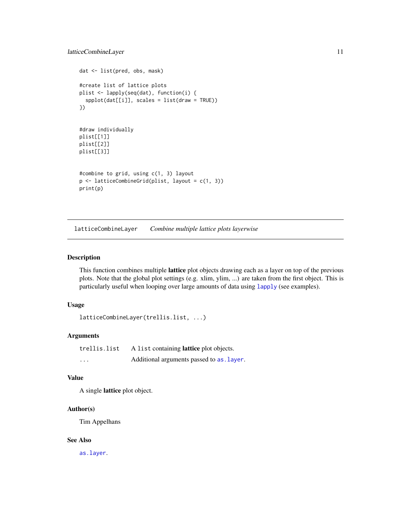```
dat <- list(pred, obs, mask)
#create list of lattice plots
plist <- lapply(seq(dat), function(i) {
  spplot(dat[[i]], scales = list(draw = TRUE))
})
#draw individually
plist[[1]]
plist[[2]]
plist[[3]]
#combine to grid, using c(1, 3) layout
p <- latticeCombineGrid(plist, layout = c(1, 3))
print(p)
```
latticeCombineLayer *Combine multiple lattice plots layerwise*

#### Description

This function combines multiple **lattice** plot objects drawing each as a layer on top of the previous plots. Note that the global plot settings (e.g. xlim, ylim, ...) are taken from the first object. This is particularly useful when looping over large amounts of data using [lapply](#page-0-0) (see examples).

#### Usage

```
latticeCombineLayer(trellis.list, ...)
```
#### Arguments

trellis.list A list containing lattice plot objects. ... Additional arguments passed to [as.layer](#page-0-0).

#### Value

A single lattice plot object.

#### Author(s)

Tim Appelhans

#### See Also

[as.layer](#page-0-0).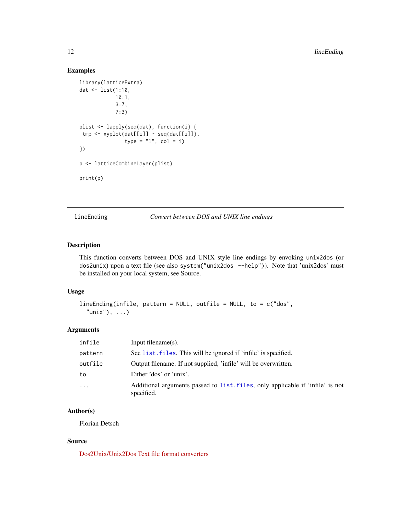#### <span id="page-11-0"></span>Examples

```
library(latticeExtra)
dat <- list(1:10,
               10:1,
               3:7,
               7:3)
plist <- lapply(seq(dat), function(i) {
 tmp \leftarrow \text{xyplot}(\text{dat}[\texttt{[i]}] \sim \text{seq}(\text{dat}[\texttt{[i]}]),type = "l", col = i)})
p <- latticeCombineLayer(plist)
print(p)
```
lineEnding *Convert between DOS and UNIX line endings*

#### Description

This function converts between DOS and UNIX style line endings by envoking unix2dos (or dos2unix) upon a text file (see also system("unix2dos --help")). Note that 'unix2dos' must be installed on your local system, see Source.

#### Usage

```
lineEnding(infile, pattern = NULL, outfile = NULL, to = c("dos",
  "unix"), \dots)
```
#### Arguments

| infile    | Input filename $(s)$ .                                                                       |
|-----------|----------------------------------------------------------------------------------------------|
| pattern   | See list. files. This will be ignored if 'infile' is specified.                              |
| outfile   | Output filename. If not supplied, 'infile' will be overwritten.                              |
| to        | Either 'dos' or 'unix'.                                                                      |
| $\ddotsc$ | Additional arguments passed to list, files, only applicable if 'infile' is not<br>specified. |

#### Author(s)

Florian Detsch

#### Source

[Dos2Unix/Unix2Dos Text file format converters](https://waterlan.home.xs4all.nl/dos2unix.html)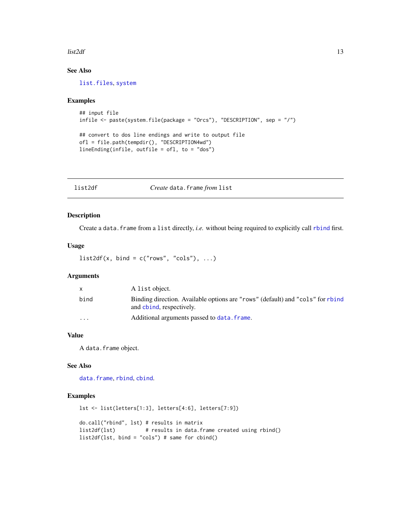#### <span id="page-12-0"></span> $list2df$  13

#### See Also

[list.files](#page-0-0), [system](#page-0-0)

#### Examples

```
## input file
infile <- paste(system.file(package = "Orcs"), "DESCRIPTION", sep = "/")
## convert to dos line endings and write to output file
ofl = file.path(tempdir(), "DESCRIPTION4wd")
lineEnding(infile, outfile = ofl, to = "dos")
```
list2df *Create* data.frame *from* list

#### Description

Create a data.frame from a list directly, *i.e.* without being required to explicitly call [rbind](#page-0-0) first.

#### Usage

 $list2df(x, bind = c("rows", "cols"), ...)$ 

#### Arguments

| X        | A list object.                                                                                             |
|----------|------------------------------------------------------------------------------------------------------------|
| bind     | Binding direction. Available options are "rows" (default) and "cols" for rbind<br>and chind, respectively. |
| $\cdots$ | Additional arguments passed to data. frame.                                                                |

#### Value

A data.frame object.

#### See Also

[data.frame](#page-0-0), [rbind](#page-0-0), [cbind](#page-0-0).

```
lst <- list(letters[1:3], letters[4:6], letters[7:9])
do.call("rbind", lst) # results in matrix
list2df(lst) # results in data.frame created using rbind()
list2df(lst, bind = "cols") # same for cbind()
```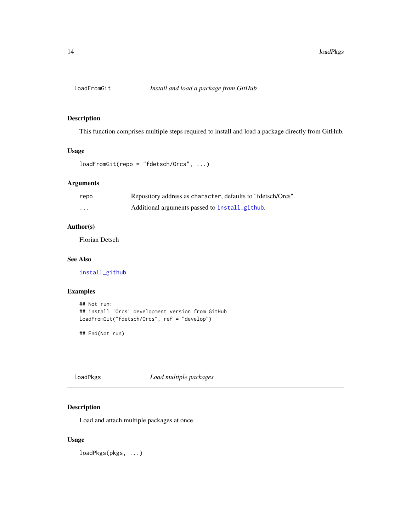<span id="page-13-0"></span>

This function comprises multiple steps required to install and load a package directly from GitHub.

#### Usage

```
loadFromGit(repo = "fdetsch/Orcs", ...)
```
#### Arguments

| repo    | Repository address as character, defaults to "fdetsch/Orcs". |
|---------|--------------------------------------------------------------|
| $\cdot$ | Additional arguments passed to install_github.               |

#### Author(s)

Florian Detsch

#### See Also

[install\\_github](#page-0-0)

#### Examples

```
## Not run:
## install 'Orcs' development version from GitHub
loadFromGit("fdetsch/Orcs", ref = "develop")
```
## End(Not run)

loadPkgs *Load multiple packages*

#### Description

Load and attach multiple packages at once.

#### Usage

loadPkgs(pkgs, ...)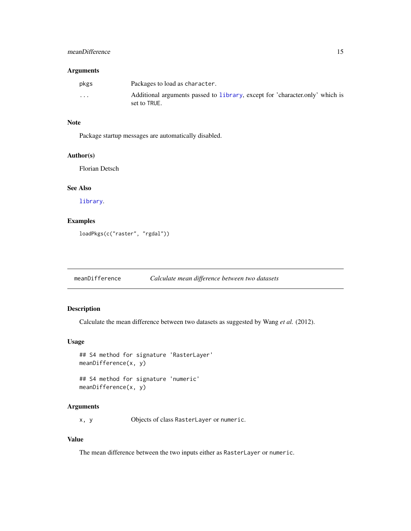#### <span id="page-14-0"></span>meanDifference 15

#### Arguments

| pkgs    | Packages to load as character.                                                               |
|---------|----------------------------------------------------------------------------------------------|
| $\cdot$ | Additional arguments passed to library, except for 'character.only' which is<br>set to TRUE. |

#### Note

Package startup messages are automatically disabled.

#### Author(s)

Florian Detsch

#### See Also

[library](#page-0-0).

#### Examples

loadPkgs(c("raster", "rgdal"))

meanDifference *Calculate mean difference between two datasets*

#### Description

Calculate the mean difference between two datasets as suggested by Wang *et al.* (2012).

#### Usage

```
## S4 method for signature 'RasterLayer'
meanDifference(x, y)
## S4 method for signature 'numeric'
meanDifference(x, y)
```
### Arguments

x, y Objects of class RasterLayer or numeric.

#### Value

The mean difference between the two inputs either as RasterLayer or numeric.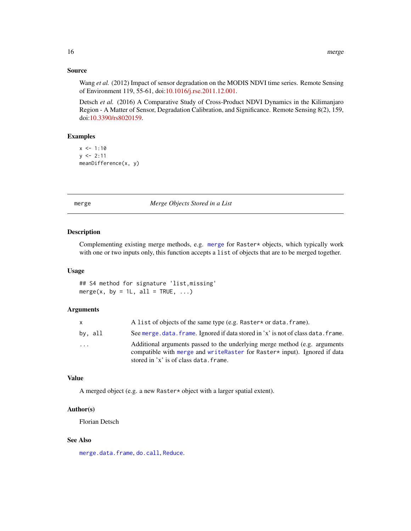#### Source

Wang *et al.* (2012) Impact of sensor degradation on the MODIS NDVI time series. Remote Sensing of Environment 119, 55-61, doi[:10.1016/j.rse.2011.12.001.](https://doi.org/10.1016/j.rse.2011.12.001)

Detsch *et al.* (2016) A Comparative Study of Cross-Product NDVI Dynamics in the Kilimanjaro Region - A Matter of Sensor, Degradation Calibration, and Significance. Remote Sensing 8(2), 159, doi[:10.3390/rs8020159.](http://dx.doi.org/10.3390/rs8020159)

#### Examples

```
x \le -1:10y \le -2:11meanDifference(x, y)
```
<span id="page-15-1"></span>merge *Merge Objects Stored in a List*

#### Description

Complementing existing merge methods, e.g. [merge](#page-15-1) for Raster\* objects, which typically work with one or two inputs only, this function accepts a list of objects that are to be merged together.

#### Usage

## S4 method for signature 'list,missing' merge(x, by = 1L, all = TRUE,  $\dots$ )

#### Arguments

| x.      | A list of objects of the same type (e.g. Raster* or data. frame).                                                                                                                                   |
|---------|-----------------------------------------------------------------------------------------------------------------------------------------------------------------------------------------------------|
| by. all | See merge. data. frame. Ignored if data stored in 'x' is not of class data. frame.                                                                                                                  |
| .       | Additional arguments passed to the underlying merge method (e.g. arguments<br>compatible with merge and write Raster for Raster * input). Ignored if data<br>stored in 'x' is of class data. frame. |

#### Value

A merged object (e.g. a new Raster\* object with a larger spatial extent).

#### Author(s)

Florian Detsch

#### See Also

[merge.data.frame](#page-0-0), [do.call](#page-0-0), [Reduce](#page-0-0).

<span id="page-15-0"></span>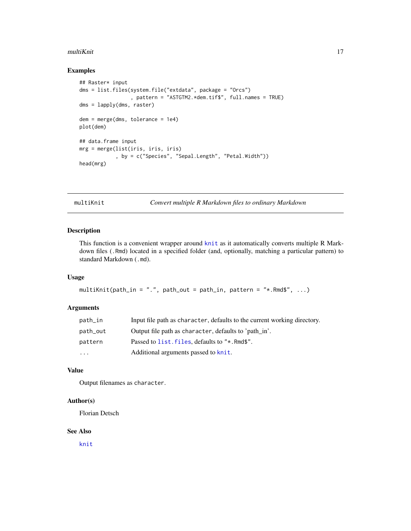#### <span id="page-16-0"></span>multiKnit 17

#### Examples

```
## Raster* input
dms = list.files(system.file("extdata", package = "Orcs")
                 , pattern = "ASTGTM2.*dem.tif$", full.names = TRUE)
dms = lapply(dms, raster)
dem = merge(dms, tolerance = 1e4)
plot(dem)
## data.frame input
mrg = merge(list(iris, iris, iris)
            , by = c("Species", "Sepal.Length", "Petal.Width"))
head(mrg)
```
multiKnit *Convert multiple R Markdown files to ordinary Markdown*

#### Description

This function is a convenient wrapper around [knit](#page-0-0) as it automatically converts multiple R Markdown files (.Rmd) located in a specified folder (and, optionally, matching a particular pattern) to standard Markdown (.md).

#### Usage

```
multiKnit(path_in = ".", path_out = path_in, pattern = "*. Rmd$", ...)
```
#### Arguments

| path_in  | Input file path as character, defaults to the current working directory. |
|----------|--------------------------------------------------------------------------|
| path_out | Output file path as character, defaults to 'path_in'.                    |
| pattern  | Passed to list. files, defaults to "*. Rmd\$".                           |
| $\cdots$ | Additional arguments passed to knit.                                     |

#### Value

Output filenames as character.

#### Author(s)

Florian Detsch

#### See Also

[knit](#page-0-0)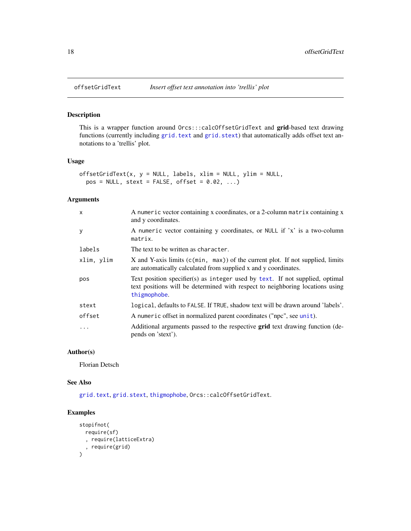<span id="page-17-0"></span>

This is a wrapper function around Orcs:::calcOffsetGridText and grid-based text drawing functions (currently including [grid.text](#page-0-0) and [grid.stext](#page-25-1)) that automatically adds offset text annotations to a 'trellis' plot.

#### Usage

```
offsetGridText(x, y = NULL, labels, xlim = NULL, ylim = NULL,
 pos = NULL, stext = FALSE, offset = 0.02, ...)
```
#### Arguments

| x          | A numeric vector containing x coordinates, or a 2-column matrix containing x<br>and y coordinates.                                                                            |
|------------|-------------------------------------------------------------------------------------------------------------------------------------------------------------------------------|
| y          | A numeric vector containing y coordinates, or NULL if 'x' is a two-column<br>matrix.                                                                                          |
| labels     | The text to be written as character.                                                                                                                                          |
| xlim, ylim | X and Y-axis limits $(c(\text{min}, \text{max}))$ of the current plot. If not supplied, limits<br>are automatically calculated from supplied x and y coordinates.             |
| pos        | Text position specifier(s) as integer used by text. If not supplied, optimal<br>text positions will be determined with respect to neighboring locations using<br>thigmophobe. |
| stext      | logical, defaults to FALSE. If TRUE, shadow text will be drawn around 'labels'.                                                                                               |
| offset     | A numeric offset in normalized parent coordinates ("npc", see unit).                                                                                                          |
| $\cdot$    | Additional arguments passed to the respective <b>grid</b> text drawing function (de-<br>pends on 'stext').                                                                    |

#### Author(s)

Florian Detsch

#### See Also

[grid.text](#page-0-0), [grid.stext](#page-25-1), [thigmophobe](#page-0-0), Orcs::calcOffsetGridText.

```
stopifnot(
  require(sf)
  , require(latticeExtra)
  , require(grid)
\overline{\phantom{a}}
```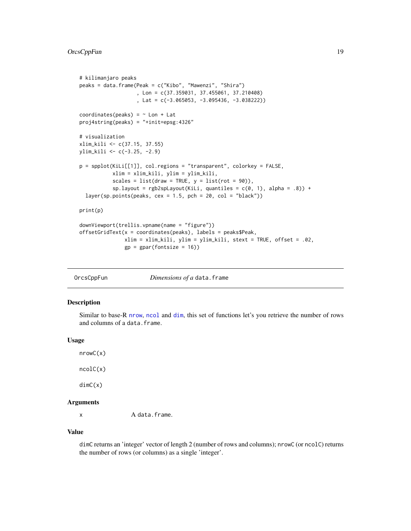#### <span id="page-18-0"></span>OrcsCppFun 19

```
# kilimanjaro peaks
peaks = data.frame(Peak = c("Kibo", "Mawenzi", "Shira")
                   , Lon = c(37.359031, 37.455061, 37.210408)
                   , Lat = c(-3.065053, -3.095436, -3.038222))
coordinates(peaks) = \sim Lon + Lat
proj4string(peaks) = "+init=epsg:4326"
# visualization
xlim_kili <- c(37.15, 37.55)
ylim_kili <- c(-3.25, -2.9)
p = spplot(KiLi[[1]], col.regions = "transparent", colorkey = FALSE,
           xlim = xlim_kili, ylim = ylim_kili,
           scales = list(draw = TRUE, y = list(root = 90)),
           sp.layout = rgb2splayout(Kili, quantiles = c(0, 1), alpha = .8)) +layer(sp.points(peaks, cex = 1.5, pch = 20, col = "black"))
print(p)
downViewport(trellis.vpname(name = "figure"))
offsetGridText(x = coordinates(peaks), labels = peaks$Peak,
               xlim = xlim_kili, ylim = ylim_kili, stext = TRUE, offset = .02,
               gp = gpar(fontsize = 16)
```

| OrcsCppFun | Dimensions of a data.frame |
|------------|----------------------------|
|            |                            |

#### Description

Similar to base-R [nrow](#page-0-0), [ncol](#page-0-0) and [dim](#page-0-0), this set of functions let's you retrieve the number of rows and columns of a data.frame.

#### Usage

nrowC(x) ncolC(x) dimC(x)

#### Arguments

x A data.frame.

#### Value

dimC returns an 'integer' vector of length 2 (number of rows and columns); nrowC (or ncolC) returns the number of rows (or columns) as a single 'integer'.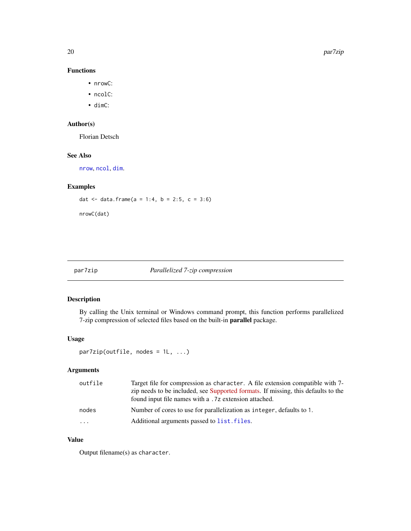#### Functions

- nrowC:
- ncolC:
- dimC:

#### Author(s)

Florian Detsch

#### See Also

[nrow](#page-0-0), [ncol](#page-0-0), [dim](#page-0-0).

#### Examples

dat <- data.frame(a = 1:4, b = 2:5, c = 3:6)

nrowC(dat)

#### par7zip *Parallelized 7-zip compression*

#### Description

By calling the Unix terminal or Windows command prompt, this function performs parallelized 7-zip compression of selected files based on the built-in parallel package.

#### Usage

```
par7zip(outfile, nodes = 1L, ...)
```
#### Arguments

| outfile | Target file for compression as character. A file extension compatible with 7-<br>zip needs to be included, see Supported formats. If missing, this defaults to the<br>found input file names with a .7z extension attached. |
|---------|-----------------------------------------------------------------------------------------------------------------------------------------------------------------------------------------------------------------------------|
| nodes   | Number of cores to use for parallelization as integer, defaults to 1.                                                                                                                                                       |
| $\cdot$ | Additional arguments passed to list. files.                                                                                                                                                                                 |

#### Value

Output filename(s) as character.

<span id="page-19-0"></span>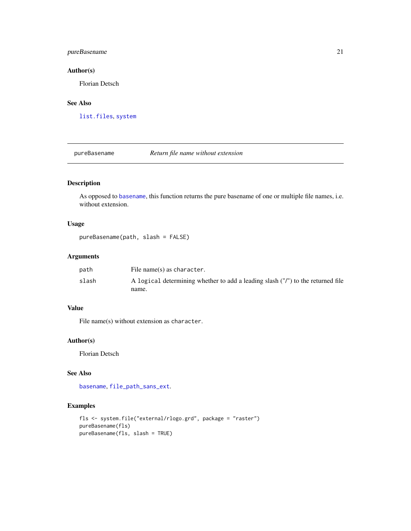#### <span id="page-20-0"></span>pureBasename 21

#### Author(s)

Florian Detsch

#### See Also

[list.files](#page-0-0), [system](#page-0-0)

pureBasename *Return file name without extension*

#### Description

As opposed to [basename](#page-0-0), this function returns the pure basename of one or multiple file names, i.e. without extension.

#### Usage

pureBasename(path, slash = FALSE)

#### Arguments

| path  | File name(s) as character.                                                      |
|-------|---------------------------------------------------------------------------------|
| slash | A logical determining whether to add a leading slash ("/") to the returned file |
|       | name.                                                                           |

#### Value

File name(s) without extension as character.

#### Author(s)

Florian Detsch

#### See Also

[basename](#page-0-0), [file\\_path\\_sans\\_ext](#page-0-0).

```
fls <- system.file("external/rlogo.grd", package = "raster")
pureBasename(fls)
pureBasename(fls, slash = TRUE)
```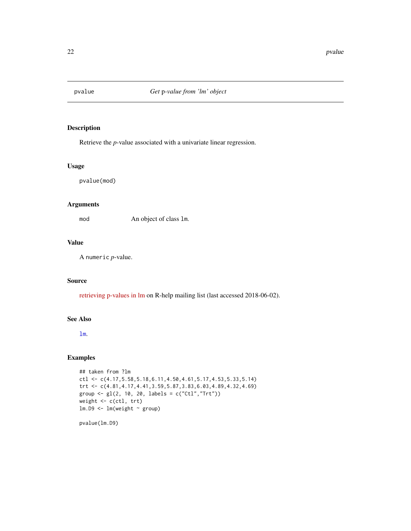<span id="page-21-0"></span>

Retrieve the *p*-value associated with a univariate linear regression.

#### Usage

pvalue(mod)

#### Arguments

mod An object of class lm.

#### Value

A numeric *p*-value.

#### Source

[retrieving p-values in lm](https://stat.ethz.ch/pipermail/r-help/2005-December/084308.html) on R-help mailing list (last accessed 2018-06-02).

#### See Also

[lm](#page-0-0).

#### Examples

```
## taken from ?lm
ctl <- c(4.17,5.58,5.18,6.11,4.50,4.61,5.17,4.53,5.33,5.14)
trt <- c(4.81,4.17,4.41,3.59,5.87,3.83,6.03,4.89,4.32,4.69)
group <- gl(2, 10, 20, labels = c("Ctl","Trt"))
weight <- c(ctl, trt)
lm.D9 \leftarrow lm(weight \sim group)
```
pvalue(lm.D9)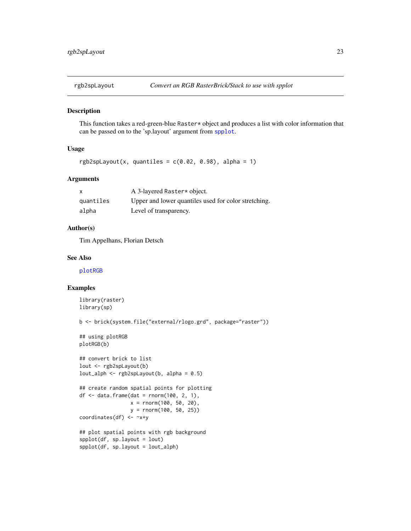<span id="page-22-0"></span>

This function takes a red-green-blue Raster\* object and produces a list with color information that can be passed on to the 'sp.layout' argument from [spplot](#page-0-0).

#### Usage

```
rgb2spLayout(x, quantiles = c(0.02, 0.98), alpha = 1)
```
#### Arguments

|           | A 3-layered Raster* object.                          |
|-----------|------------------------------------------------------|
| quantiles | Upper and lower quantiles used for color stretching. |
| alpha     | Level of transparency.                               |

#### Author(s)

Tim Appelhans, Florian Detsch

#### See Also

[plotRGB](#page-0-0)

```
library(raster)
library(sp)
b <- brick(system.file("external/rlogo.grd", package="raster"))
## using plotRGB
plotRGB(b)
## convert brick to list
lout <- rgb2spLayout(b)
lout_alph <- rgb2splayout(b, alpha = 0.5)## create random spatial points for plotting
df \le data.frame(dat = rnorm(100, 2, 1),
                 x = rnorm(100, 50, 20),
                 y = rnorm(100, 50, 25))
coordinates(df) <- ~x+y
## plot spatial points with rgb background
spplot(df, sp.layout = lout)
spplot(df, sp.layout = lout_alph)
```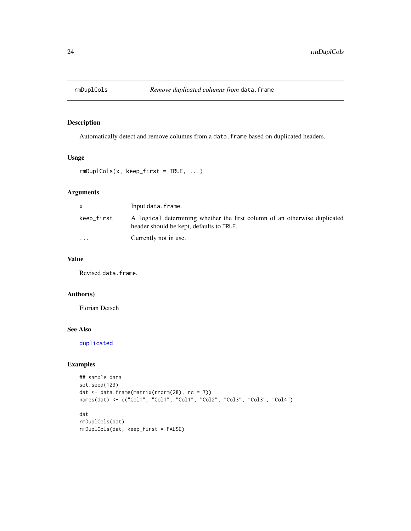<span id="page-23-0"></span>

Automatically detect and remove columns from a data. frame based on duplicated headers.

#### Usage

```
rmDuplCols(x, keep_first = TRUE, ...)
```
#### Arguments

| X          | Input data.frame.                                                                                                     |
|------------|-----------------------------------------------------------------------------------------------------------------------|
| keep_first | A logical determining whether the first column of an otherwise duplicated<br>header should be kept, defaults to TRUE. |
| $\cdots$   | Currently not in use.                                                                                                 |

#### Value

Revised data.frame.

#### Author(s)

Florian Detsch

#### See Also

[duplicated](#page-0-0)

```
## sample data
set.seed(123)
dat <- data.frame(matrix(rnorm(28), nc = 7))
names(dat) <- c("Col1", "Col1", "Col1", "Col2", "Col3", "Col3", "Col4")
dat
rmDuplCols(dat)
rmDuplCols(dat, keep_first = FALSE)
```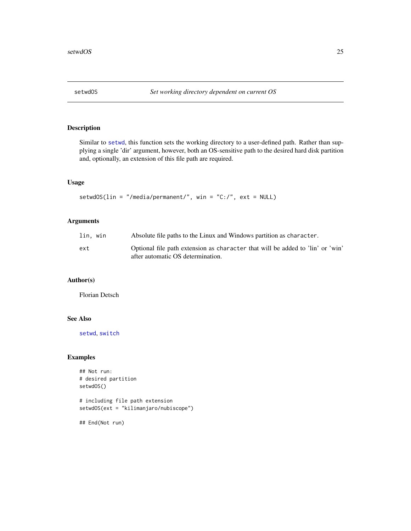<span id="page-24-0"></span>

Similar to [setwd](#page-0-0), this function sets the working directory to a user-defined path. Rather than supplying a single 'dir' argument, however, both an OS-sensitive path to the desired hard disk partition and, optionally, an extension of this file path are required.

#### Usage

```
setwdOS(lin = "/media/permanent/", win = "C:/", ext = NULL)
```
#### Arguments

| lin, win | Absolute file paths to the Linux and Windows partition as character.           |
|----------|--------------------------------------------------------------------------------|
| ext      | Optional file path extension as character that will be added to 'lin' or 'win' |
|          | after automatic OS determination.                                              |

#### Author(s)

Florian Detsch

#### See Also

[setwd](#page-0-0), [switch](#page-0-0)

#### Examples

```
## Not run:
# desired partition
setwdOS()
# including file path extension
```
setwdOS(ext = "kilimanjaro/nubiscope")

## End(Not run)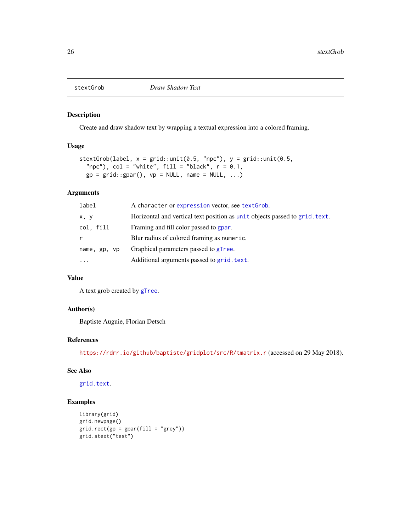<span id="page-25-1"></span><span id="page-25-0"></span>

Create and draw shadow text by wrapping a textual expression into a colored framing.

#### Usage

```
stextGrob(label, x = grid::unit(0.5, "npc"), y = grid::unit(0.5,"npc"), col = "white", fill = "black", r = 0.1,
 gp = grid::gpar(), vp = NULL, name = NULL, ...)
```
#### Arguments

| label        | A character or expression vector, see text Grob.                            |
|--------------|-----------------------------------------------------------------------------|
| x, y         | Horizontal and vertical text position as unit objects passed to grid. text. |
| col, fill    | Framing and fill color passed to gpar.                                      |
| r            | Blur radius of colored framing as numeric.                                  |
| name, gp, vp | Graphical parameters passed to gTree.                                       |
|              | Additional arguments passed to grid. text.                                  |
|              |                                                                             |

#### Value

A text grob created by [gTree](#page-0-0).

#### Author(s)

Baptiste Auguie, Florian Detsch

#### References

<https://rdrr.io/github/baptiste/gridplot/src/R/tmatrix.r> (accessed on 29 May 2018).

#### See Also

[grid.text](#page-0-0).

```
library(grid)
grid.newpage()
grid.rect(gp = gpar(fill = "grey"))grid.stext("test")
```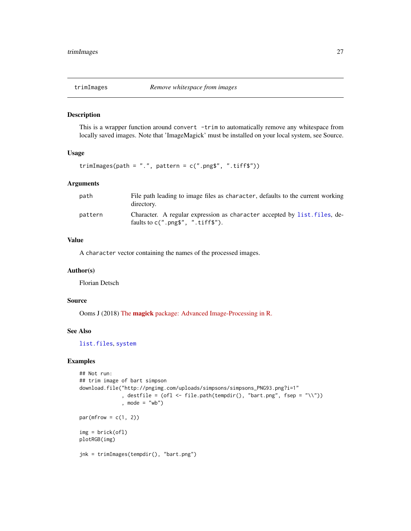<span id="page-26-0"></span>

This is a wrapper function around convert -trim to automatically remove any whitespace from locally saved images. Note that 'ImageMagick' must be installed on your local system, see Source.

#### Usage

```
trimImages(path = ".", pattern = c(".png$", ".diff$"))
```
#### Arguments

| path    | File path leading to image files as character, defaults to the current working<br>directory.                  |
|---------|---------------------------------------------------------------------------------------------------------------|
| pattern | Character. A regular expression as character accepted by list files, de-<br>faults to $c(".png$", ".tiff$").$ |

#### Value

A character vector containing the names of the processed images.

#### Author(s)

Florian Detsch

#### Source

Ooms J (2018) The magick [package: Advanced Image-Processing in R.](https://cran.r-project.org/package=magick/vignettes/intro.html)

#### See Also

[list.files](#page-0-0), [system](#page-0-0)

```
## Not run:
## trim image of bart simpson
download.file("http://pngimg.com/uploads/simpsons/simpsons_PNG93.png?i=1"
              , destfile = (ofl <- file.path(tempdir(), "bart.png", fsep = "\\"))
              , mode = "wb")
par(mfrow = c(1, 2))img = brick(ofl)
plotRGB(img)
jnk = trimImages(tempdir(), "bart.png")
```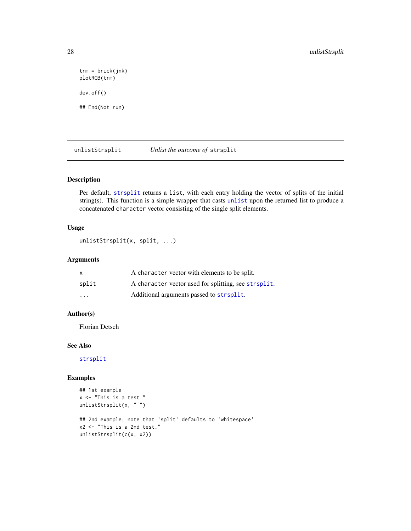```
trm = brick(jnk)
plotRGB(trm)
dev.off()
## End(Not run)
```
unlistStrsplit *Unlist the outcome of* strsplit

#### Description

Per default, [strsplit](#page-0-0) returns a list, with each entry holding the vector of splits of the initial string(s). This function is a simple wrapper that casts [unlist](#page-0-0) upon the returned list to produce a concatenated character vector consisting of the single split elements.

#### Usage

```
unlistStrsplit(x, split, ...)
```
#### Arguments

| x                       | A character vector with elements to be split.        |
|-------------------------|------------------------------------------------------|
| split                   | A character vector used for splitting, see strsplit. |
| $\cdot$ $\cdot$ $\cdot$ | Additional arguments passed to strsplit.             |

#### Author(s)

Florian Detsch

#### See Also

[strsplit](#page-0-0)

```
## 1st example
x <- "This is a test."
unlistStrsplit(x, " ")
## 2nd example; note that 'split' defaults to 'whitespace'
x2 <- "This is a 2nd test."
unlistStrsplit(c(x, x2))
```
<span id="page-27-0"></span>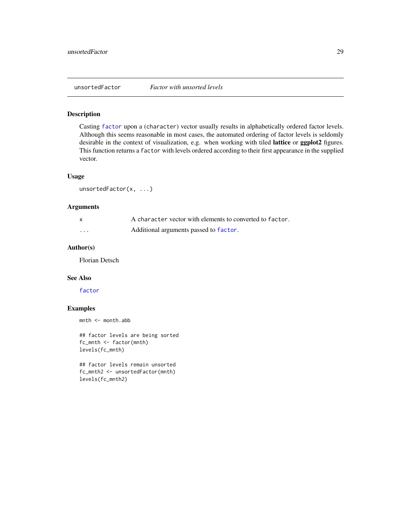<span id="page-28-0"></span>

Casting [factor](#page-0-0) upon a (character) vector usually results in alphabetically ordered factor levels. Although this seems reasonable in most cases, the automated ordering of factor levels is seldomly desirable in the context of visualization, e.g. when working with tiled lattice or ggplot2 figures. This function returns a factor with levels ordered according to their first appearance in the supplied vector.

#### Usage

unsortedFactor(x, ...)

#### Arguments

| $\mathsf{x}$ | A character vector with elements to converted to factor. |
|--------------|----------------------------------------------------------|
| $\cdots$     | Additional arguments passed to factor.                   |

#### Author(s)

Florian Detsch

#### See Also

[factor](#page-0-0)

#### Examples

mnth <- month.abb

## factor levels are being sorted fc\_mnth <- factor(mnth) levels(fc\_mnth)

## factor levels remain unsorted fc\_mnth2 <- unsortedFactor(mnth) levels(fc\_mnth2)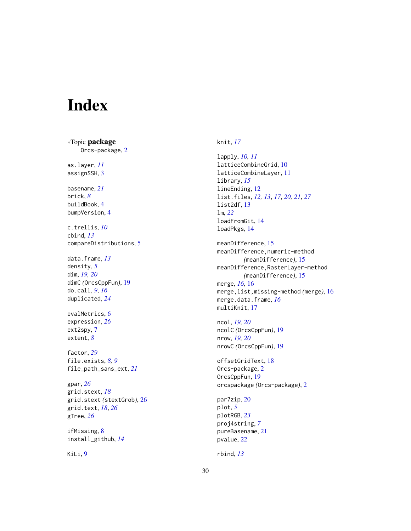# <span id="page-29-0"></span>Index

∗Topic package Orcs-package, [2](#page-1-0) as.layer, *[11](#page-10-0)* assignSSH, [3](#page-2-0) basename, *[21](#page-20-0)* brick, *[8](#page-7-0)* buildBook, [4](#page-3-0) bumpVersion, [4](#page-3-0) c.trellis, *[10](#page-9-0)* cbind, *[13](#page-12-0)* compareDistributions, [5](#page-4-0) data.frame, *[13](#page-12-0)* density, *[5](#page-4-0)* dim, *[19,](#page-18-0) [20](#page-19-0)* dimC *(*OrcsCppFun*)*, [19](#page-18-0) do.call, *[9](#page-8-0)*, *[16](#page-15-0)* duplicated, *[24](#page-23-0)* evalMetrics, [6](#page-5-0) expression, *[26](#page-25-0)* ext2spy, [7](#page-6-0) extent, *[8](#page-7-0)* factor, *[29](#page-28-0)* file.exists, *[8,](#page-7-0) [9](#page-8-0)* file\_path\_sans\_ext, *[21](#page-20-0)* gpar, *[26](#page-25-0)* grid.stext, *[18](#page-17-0)* grid.stext *(*stextGrob*)*, [26](#page-25-0) grid.text, *[18](#page-17-0)*, *[26](#page-25-0)* gTree, *[26](#page-25-0)* ifMissing, [8](#page-7-0) install\_github, *[14](#page-13-0)* KiLi, [9](#page-8-0)

#### knit, *[17](#page-16-0)*

lapply, *[10,](#page-9-0) [11](#page-10-0)* latticeCombineGrid, [10](#page-9-0) latticeCombineLayer, [11](#page-10-0) library, *[15](#page-14-0)* lineEnding, [12](#page-11-0) list.files, *[12,](#page-11-0) [13](#page-12-0)*, *[17](#page-16-0)*, *[20,](#page-19-0) [21](#page-20-0)*, *[27](#page-26-0)* list2df, [13](#page-12-0) lm, *[22](#page-21-0)* loadFromGit, [14](#page-13-0) loadPkgs, [14](#page-13-0) meanDifference, [15](#page-14-0)

meanDifference,numeric-method *(*meanDifference*)*, [15](#page-14-0) meanDifference,RasterLayer-method *(*meanDifference*)*, [15](#page-14-0) merge, *[16](#page-15-0)*, [16](#page-15-0) merge,list,missing-method *(*merge*)*, [16](#page-15-0) merge.data.frame, *[16](#page-15-0)* multiKnit, [17](#page-16-0)

ncol, *[19,](#page-18-0) [20](#page-19-0)* ncolC *(*OrcsCppFun*)*, [19](#page-18-0) nrow, *[19,](#page-18-0) [20](#page-19-0)* nrowC *(*OrcsCppFun*)*, [19](#page-18-0)

offsetGridText, [18](#page-17-0) Orcs-package, [2](#page-1-0) OrcsCppFun, [19](#page-18-0) orcspackage *(*Orcs-package*)*, [2](#page-1-0)

par7zip, [20](#page-19-0) plot, *[5](#page-4-0)* plotRGB, *[23](#page-22-0)* proj4string, *[7](#page-6-0)* pureBasename, [21](#page-20-0) pvalue, [22](#page-21-0)

rbind, *[13](#page-12-0)*